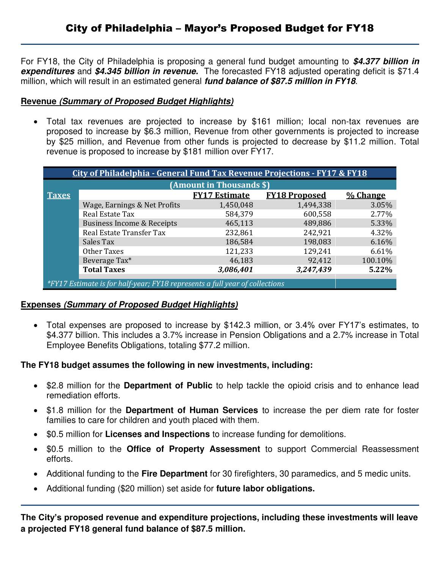For FY18, the City of Philadelphia is proposing a general fund budget amounting to *\$4.377 billion in expenditures* and *\$4.345 billion in revenue.* The forecasted FY18 adjusted operating deficit is \$71.4 million, which will result in an estimated general *fund balance of \$87.5 million in FY18*.

## **Revenue** *(Summary of Proposed Budget Highlights)*

 Total tax revenues are projected to increase by \$161 million; local non-tax revenues are proposed to increase by \$6.3 million, Revenue from other governments is projected to increase by \$25 million, and Revenue from other funds is projected to decrease by \$11.2 million. Total revenue is proposed to increase by \$181 million over FY17.

| City of Philadelphia - General Fund Tax Revenue Projections - FY17 & FY18   |                              |                      |                      |          |  |  |  |  |  |  |  |  |
|-----------------------------------------------------------------------------|------------------------------|----------------------|----------------------|----------|--|--|--|--|--|--|--|--|
| (Amount in Thousands \$)                                                    |                              |                      |                      |          |  |  |  |  |  |  |  |  |
| <b>Taxes</b>                                                                |                              | <b>FY17 Estimate</b> | <b>FY18 Proposed</b> | % Change |  |  |  |  |  |  |  |  |
|                                                                             | Wage, Earnings & Net Profits | 1,450,048            | 1,494,338            | 3.05%    |  |  |  |  |  |  |  |  |
|                                                                             | Real Estate Tax              | 584,379              | 600,558              | 2.77%    |  |  |  |  |  |  |  |  |
|                                                                             | Business Income & Receipts   | 465,113              | 489,886              | 5.33%    |  |  |  |  |  |  |  |  |
|                                                                             | Real Estate Transfer Tax     | 232,861              | 242,921              | 4.32%    |  |  |  |  |  |  |  |  |
|                                                                             | Sales Tax                    | 186,584              | 198,083              | 6.16%    |  |  |  |  |  |  |  |  |
|                                                                             | Other Taxes                  | 121,233              | 129,241              | 6.61%    |  |  |  |  |  |  |  |  |
|                                                                             | Beverage Tax*                | 46,183               | 92,412               | 100.10%  |  |  |  |  |  |  |  |  |
|                                                                             | <b>Total Taxes</b>           | 3,086,401            | 3,247,439            | 5.22%    |  |  |  |  |  |  |  |  |
|                                                                             |                              |                      |                      |          |  |  |  |  |  |  |  |  |
| *FY17 Estimate is for half-year; FY18 represents a full year of collections |                              |                      |                      |          |  |  |  |  |  |  |  |  |

## **Expenses** *(Summary of Proposed Budget Highlights)*

 Total expenses are proposed to increase by \$142.3 million, or 3.4% over FY17's estimates, to \$4.377 billion. This includes a 3.7% increase in Pension Obligations and a 2.7% increase in Total Employee Benefits Obligations, totaling \$77.2 million.

## **The FY18 budget assumes the following in new investments, including:**

- \$2.8 million for the **Department of Public** to help tackle the opioid crisis and to enhance lead remediation efforts.
- \$1.8 million for the **Department of Human Services** to increase the per diem rate for foster families to care for children and youth placed with them.
- \$0.5 million for **Licenses and Inspections** to increase funding for demolitions.
- \$0.5 million to the **Office of Property Assessment** to support Commercial Reassessment efforts.
- Additional funding to the **Fire Department** for 30 firefighters, 30 paramedics, and 5 medic units.
- Additional funding (\$20 million) set aside for **future labor obligations.**

**The City's proposed revenue and expenditure projections, including these investments will leave a projected FY18 general fund balance of \$87.5 million.**